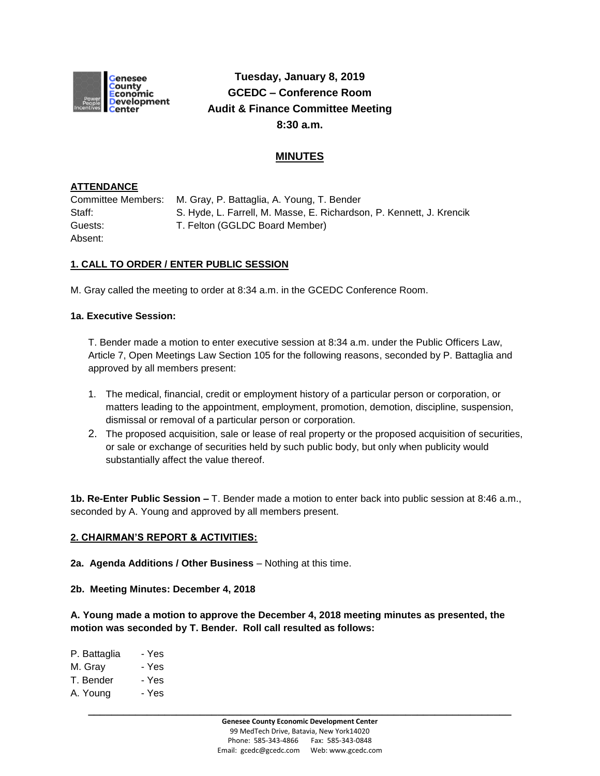

# **Tuesday, January 8, 2019 GCEDC – Conference Room Audit & Finance Committee Meeting 8:30 a.m.**

## **MINUTES**

### **ATTENDANCE**

Committee Members: M. Gray, P. Battaglia, A. Young, T. Bender Staff: S. Hyde, L. Farrell, M. Masse, E. Richardson, P. Kennett, J. Krencik Guests: T. Felton (GGLDC Board Member) Absent:

## **1. CALL TO ORDER / ENTER PUBLIC SESSION**

M. Gray called the meeting to order at 8:34 a.m. in the GCEDC Conference Room.

#### **1a. Executive Session:**

T. Bender made a motion to enter executive session at 8:34 a.m. under the Public Officers Law, Article 7, Open Meetings Law Section 105 for the following reasons, seconded by P. Battaglia and approved by all members present:

- 1. The medical, financial, credit or employment history of a particular person or corporation, or matters leading to the appointment, employment, promotion, demotion, discipline, suspension, dismissal or removal of a particular person or corporation.
- 2. The proposed acquisition, sale or lease of real property or the proposed acquisition of securities, or sale or exchange of securities held by such public body, but only when publicity would substantially affect the value thereof.

**1b. Re-Enter Public Session –** T. Bender made a motion to enter back into public session at 8:46 a.m., seconded by A. Young and approved by all members present.

#### **2. CHAIRMAN'S REPORT & ACTIVITIES:**

**2a. Agenda Additions / Other Business** – Nothing at this time.

**2b. Meeting Minutes: December 4, 2018**

**A. Young made a motion to approve the December 4, 2018 meeting minutes as presented, the motion was seconded by T. Bender. Roll call resulted as follows:**

P. Battaglia - Yes M. Gray - Yes T. Bender - Yes A. Young - Yes

**\_\_\_\_\_\_\_\_\_\_\_\_\_\_\_\_\_\_\_\_\_\_\_\_\_\_\_\_\_\_\_\_\_\_\_\_\_\_\_\_\_\_\_\_\_\_\_\_\_\_\_\_\_\_\_\_\_\_\_\_\_\_\_\_\_\_\_\_\_\_\_\_**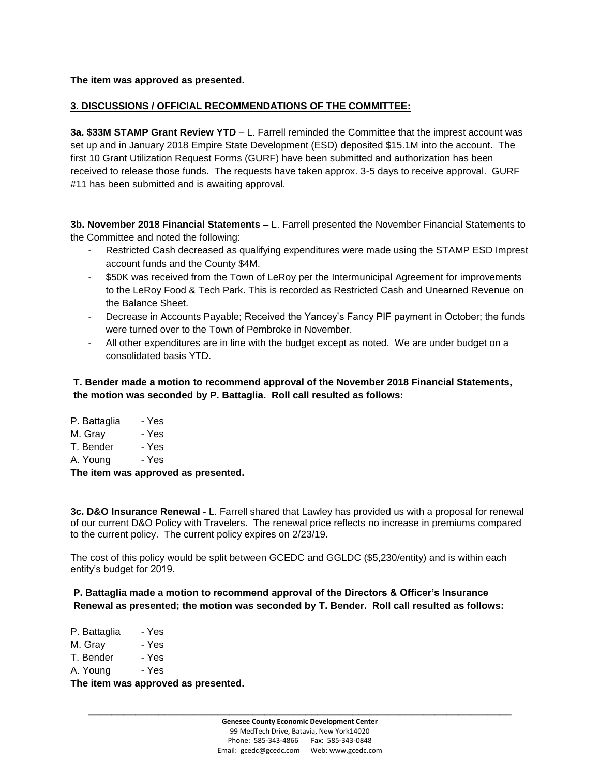**The item was approved as presented.**

#### **3. DISCUSSIONS / OFFICIAL RECOMMENDATIONS OF THE COMMITTEE:**

**3a. \$33M STAMP Grant Review YTD** – L. Farrell reminded the Committee that the imprest account was set up and in January 2018 Empire State Development (ESD) deposited \$15.1M into the account. The first 10 Grant Utilization Request Forms (GURF) have been submitted and authorization has been received to release those funds. The requests have taken approx. 3-5 days to receive approval. GURF #11 has been submitted and is awaiting approval.

**3b. November 2018 Financial Statements –** L. Farrell presented the November Financial Statements to the Committee and noted the following:

- Restricted Cash decreased as qualifying expenditures were made using the STAMP ESD Imprest account funds and the County \$4M.
- \$50K was received from the Town of LeRoy per the Intermunicipal Agreement for improvements to the LeRoy Food & Tech Park. This is recorded as Restricted Cash and Unearned Revenue on the Balance Sheet.
- Decrease in Accounts Payable; Received the Yancey's Fancy PIF payment in October; the funds were turned over to the Town of Pembroke in November.
- All other expenditures are in line with the budget except as noted. We are under budget on a consolidated basis YTD.

**T. Bender made a motion to recommend approval of the November 2018 Financial Statements, the motion was seconded by P. Battaglia. Roll call resulted as follows:**

| The item was approved as presented. |       |  |  |
|-------------------------------------|-------|--|--|
| A. Young                            | - Yes |  |  |
| T. Bender                           | - Yes |  |  |
| M. Grav                             | - Yes |  |  |
| P. Battaglia                        | - Yes |  |  |

**3c. D&O Insurance Renewal -** L. Farrell shared that Lawley has provided us with a proposal for renewal of our current D&O Policy with Travelers. The renewal price reflects no increase in premiums compared

to the current policy. The current policy expires on 2/23/19.

The cost of this policy would be split between GCEDC and GGLDC (\$5,230/entity) and is within each entity's budget for 2019.

#### **P. Battaglia made a motion to recommend approval of the Directors & Officer's Insurance Renewal as presented; the motion was seconded by T. Bender. Roll call resulted as follows:**

| The item was approved as presented. |       |  |
|-------------------------------------|-------|--|
| A. Young                            | - Yes |  |
| T. Bender                           | - Yes |  |
| M. Gray                             | - Yes |  |
| P. Battaglia                        | - Yes |  |

**\_\_\_\_\_\_\_\_\_\_\_\_\_\_\_\_\_\_\_\_\_\_\_\_\_\_\_\_\_\_\_\_\_\_\_\_\_\_\_\_\_\_\_\_\_\_\_\_\_\_\_\_\_\_\_\_\_\_\_\_\_\_\_\_\_\_\_\_\_\_\_\_**